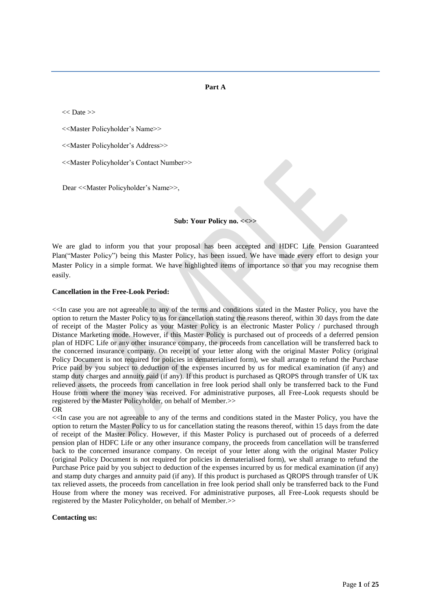### **Part A**

<< Date >>

<<Master Policyholder's Name>>

<<Master Policyholder's Address>>

<<Master Policyholder's Contact Number>>

Dear <<Master Policyholder's Name>>,

### **Sub: Your Policy no. <<>>**

We are glad to inform you that your proposal has been accepted and HDFC Life Pension Guaranteed Plan("Master Policy") being this Master Policy, has been issued. We have made every effort to design your Master Policy in a simple format. We have highlighted items of importance so that you may recognise them easily.

### **Cancellation in the Free-Look Period:**

<<In case you are not agreeable to any of the terms and conditions stated in the Master Policy, you have the option to return the Master Policy to us for cancellation stating the reasons thereof, within 30 days from the date of receipt of the Master Policy as your Master Policy is an electronic Master Policy / purchased through Distance Marketing mode. However, if this Master Policy is purchased out of proceeds of a deferred pension plan of HDFC Life or any other insurance company, the proceeds from cancellation will be transferred back to the concerned insurance company. On receipt of your letter along with the original Master Policy (original Policy Document is not required for policies in dematerialised form), we shall arrange to refund the Purchase Price paid by you subject to deduction of the expenses incurred by us for medical examination (if any) and stamp duty charges and annuity paid (if any). If this product is purchased as QROPS through transfer of UK tax relieved assets, the proceeds from cancellation in free look period shall only be transferred back to the Fund House from where the money was received. For administrative purposes, all Free-Look requests should be registered by the Master Policyholder, on behalf of Member.>> OR

<<In case you are not agreeable to any of the terms and conditions stated in the Master Policy, you have the option to return the Master Policy to us for cancellation stating the reasons thereof, within 15 days from the date of receipt of the Master Policy. However, if this Master Policy is purchased out of proceeds of a deferred pension plan of HDFC Life or any other insurance company, the proceeds from cancellation will be transferred back to the concerned insurance company. On receipt of your letter along with the original Master Policy (original Policy Document is not required for policies in dematerialised form), we shall arrange to refund the Purchase Price paid by you subject to deduction of the expenses incurred by us for medical examination (if any) and stamp duty charges and annuity paid (if any). If this product is purchased as QROPS through transfer of UK tax relieved assets, the proceeds from cancellation in free look period shall only be transferred back to the Fund House from where the money was received. For administrative purposes, all Free-Look requests should be registered by the Master Policyholder, on behalf of Member.>>

### **Contacting us:**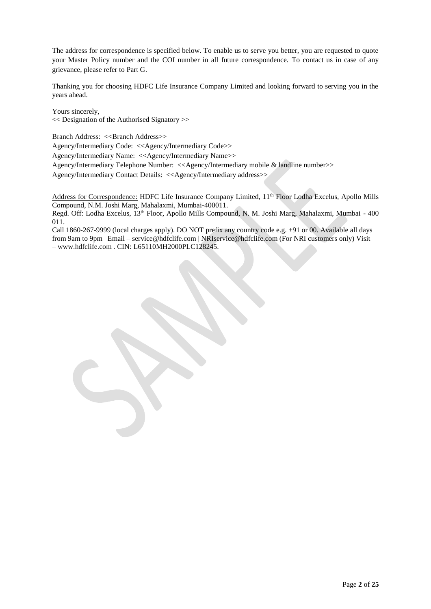The address for correspondence is specified below. To enable us to serve you better, you are requested to quote your Master Policy number and the COI number in all future correspondence. To contact us in case of any grievance, please refer to Part G.

Thanking you for choosing HDFC Life Insurance Company Limited and looking forward to serving you in the years ahead.

Yours sincerely, << Designation of the Authorised Signatory >>

Branch Address: <<Branch Address>>

Agency/Intermediary Code: <<Agency/Intermediary Code>>

Agency/Intermediary Name: <<Agency/Intermediary Name>>

Agency/Intermediary Telephone Number: <<Agency/Intermediary mobile & landline number>>

Agency/Intermediary Contact Details: <<Agency/Intermediary address>>

Address for Correspondence: HDFC Life Insurance Company Limited, 11<sup>th</sup> Floor Lodha Excelus, Apollo Mills Compound, N.M. Joshi Marg, Mahalaxmi, Mumbai-400011.

Regd. Off: Lodha Excelus, 13<sup>th</sup> Floor, Apollo Mills Compound, N. M. Joshi Marg, Mahalaxmi, Mumbai - 400 011.

Call 1860-267-9999 (local charges apply). DO NOT prefix any country code e.g. +91 or 00. Available all days from 9am to 9pm | Email – [service@hdfclife.com |](mailto:service@hdfclife.com) [NRIservice@hdfclife.com \(](mailto:NRIservice@hdfclife.com)For NRI customers only) Visit – [www.hdfclife.com .](http://www.hdfclife.com/) CIN: L65110MH2000PLC128245.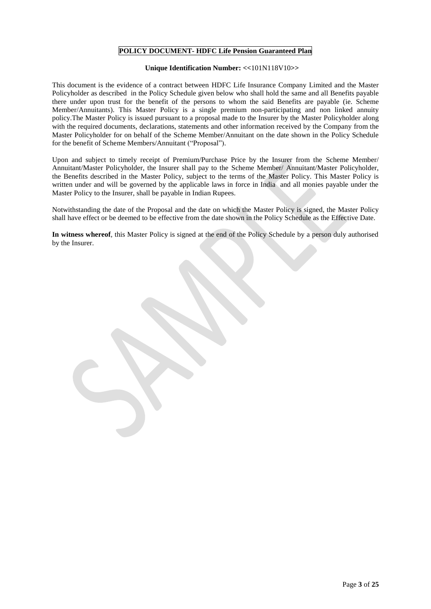# **POLICY DOCUMENT- HDFC Life Pension Guaranteed Plan**

# **Unique Identification Number: <<**101N118V10**>>**

This document is the evidence of a contract between HDFC Life Insurance Company Limited and the Master Policyholder as described in the Policy Schedule given below who shall hold the same and all Benefits payable there under upon trust for the benefit of the persons to whom the said Benefits are payable (ie. Scheme Member/Annuitants). This Master Policy is a single premium non-participating and non linked annuity policy.The Master Policy is issued pursuant to a proposal made to the Insurer by the Master Policyholder along with the required documents, declarations, statements and other information received by the Company from the Master Policyholder for on behalf of the Scheme Member/Annuitant on the date shown in the Policy Schedule for the benefit of Scheme Members/Annuitant ("Proposal").

Upon and subject to timely receipt of Premium/Purchase Price by the Insurer from the Scheme Member/ Annuitant/Master Policyholder, the Insurer shall pay to the Scheme Member/ Annuitant/Master Policyholder, the Benefits described in the Master Policy, subject to the terms of the Master Policy. This Master Policy is written under and will be governed by the applicable laws in force in India and all monies payable under the Master Policy to the Insurer, shall be payable in Indian Rupees.

Notwithstanding the date of the Proposal and the date on which the Master Policy is signed, the Master Policy shall have effect or be deemed to be effective from the date shown in the Policy Schedule as the Effective Date.

**In witness whereof**, this Master Policy is signed at the end of the Policy Schedule by a person duly authorised by the Insurer.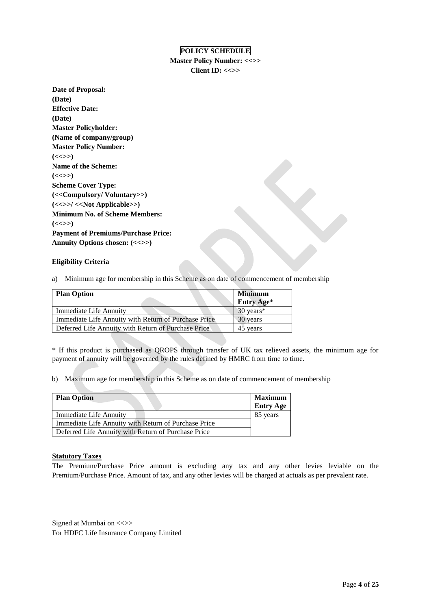# **POLICY SCHEDULE**

**Master Policy Number: <<>> Client ID: <<>>**

**Date of Proposal: (Date) Effective Date: (Date) Master Policyholder: (Name of company/group) Master Policy Number:**   $(<&>>$ **Name of the Scheme:**  $(<\gg$ ) **Scheme Cover Type: (<<Compulsory/ Voluntary>>) (<<>>/ <<Not Applicable>>) Minimum No. of Scheme Members:**  $(<\gg$ ) **Payment of Premiums/Purchase Price: Annuity Options chosen: (<<>>)**

# **Eligibility Criteria**

a) Minimum age for membership in this Scheme as on date of commencement of membership

| <b>Plan Option</b>                                   | <b>Minimum</b> |
|------------------------------------------------------|----------------|
|                                                      | Entry Age*     |
| Immediate Life Annuity                               | 30 years*      |
| Immediate Life Annuity with Return of Purchase Price | 30 years       |
| Deferred Life Annuity with Return of Purchase Price  | 45 years       |

\* If this product is purchased as QROPS through transfer of UK tax relieved assets, the minimum age for payment of annuity will be governed by the rules defined by HMRC from time to time.

b) Maximum age for membership in this Scheme as on date of commencement of membership

| <b>Plan Option</b>                                   | <b>Maximum</b><br><b>Entry Age</b> |
|------------------------------------------------------|------------------------------------|
| Immediate Life Annuity                               | 85 years                           |
| Immediate Life Annuity with Return of Purchase Price |                                    |
| Deferred Life Annuity with Return of Purchase Price  |                                    |

## **Statutory Taxes**

The Premium/Purchase Price amount is excluding any tax and any other levies leviable on the Premium/Purchase Price. Amount of tax, and any other levies will be charged at actuals as per prevalent rate.

Signed at Mumbai on  $\ll\gg$ For HDFC Life Insurance Company Limited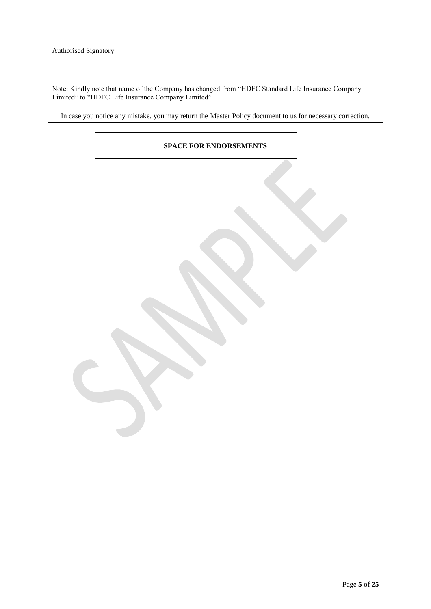Note: Kindly note that name of the Company has changed from "HDFC Standard Life Insurance Company Limited" to "HDFC Life Insurance Company Limited"

In case you notice any mistake, you may return the Master Policy document to us for necessary correction.

# **SPACE FOR ENDORSEMENTS**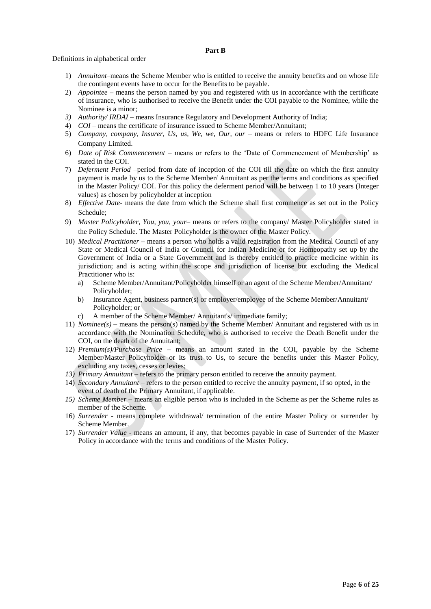### **Part B**

Definitions in alphabetical order

- 1) *Annuitant–*means the Scheme Member who is entitled to receive the annuity benefits and on whose life the contingent events have to occur for the Benefits to be payable.
- 2) *Appointee –* means the person named by you and registered with us in accordance with the certificate of insurance, who is authorised to receive the Benefit under the COI payable to the Nominee, while the Nominee is a minor;
- *3) Authority/ IRDAI* means Insurance Regulatory and Development Authority of India;
- 4) *COI* means the certificate of insurance issued to Scheme Member/Annuitant;
- 5) *Company, company, Insurer, Us, us, We, we, Our, our –* means or refers to HDFC Life Insurance Company Limited.
- 6) *Date of Risk Commencement*  means or refers to the 'Date of Commencement of Membership' as stated in the COI.
- 7) *Deferment Period* –period from date of inception of the COI till the date on which the first annuity payment is made by us to the Scheme Member/ Annuitant as per the terms and conditions as specified in the Master Policy/ COI. For this policy the deferment period will be between 1 to 10 years (Integer values) as chosen by policyholder at inception
- 8) *Effective Date-* means the date from which the Scheme shall first commence as set out in the Policy Schedule;
- 9) *Master Policyholder, You, you, your* means or refers to the company/ Master Policyholder stated in the Policy Schedule. The Master Policyholder is the owner of the Master Policy.
- 10) *Medical Practitioner*  means a person who holds a valid registration from the Medical Council of any State or Medical Council of India or Council for Indian Medicine or for Homeopathy set up by the Government of India or a State Government and is thereby entitled to practice medicine within its jurisdiction; and is acting within the scope and jurisdiction of license but excluding the Medical Practitioner who is:
	- a) Scheme Member/Annuitant/Policyholder himself or an agent of the Scheme Member/Annuitant/ Policyholder;
	- b) Insurance Agent, business partner(s) or employer/employee of the Scheme Member/Annuitant/ Policyholder; or
	- c) A member of the Scheme Member/ Annuitant's/ immediate family;
- 11) *Nominee(s) –* means the person(s) named by the Scheme Member/ Annuitant and registered with us in accordance with the Nomination Schedule, who is authorised to receive the Death Benefit under the COI, on the death of the Annuitant;
- 12) *Premium(s)/Purchase Price*  means an amount stated in the COI, payable by the Scheme Member/Master Policyholder or its trust to Us, to secure the benefits under this Master Policy, excluding any taxes, cesses or levies;
- *13) Primary Annuitant –* refers to the primary person entitled to receive the annuity payment.
- 14) *Secondary Annuitant* refers to the person entitled to receive the annuity payment, if so opted, in the event of death of the Primary Annuitant, if applicable.
- *15) Scheme Member* means an eligible person who is included in the Scheme as per the Scheme rules as member of the Scheme.
- 16) *Surrender* means complete withdrawal/ termination of the entire Master Policy or surrender by Scheme Member.
- 17) *Surrender Value* means an amount, if any, that becomes payable in case of Surrender of the Master Policy in accordance with the terms and conditions of the Master Policy.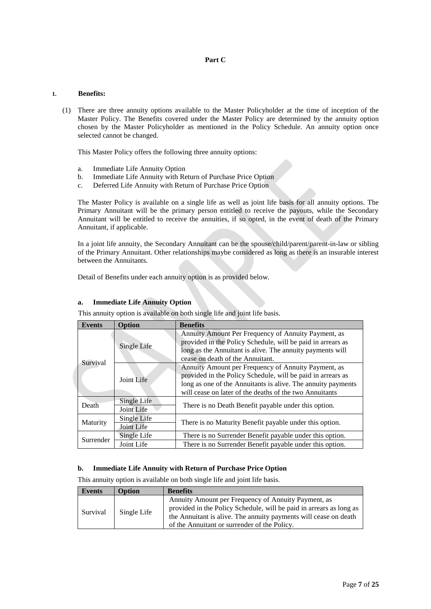# **Part C**

# **1. Benefits:**

(1) There are three annuity options available to the Master Policyholder at the time of inception of the Master Policy. The Benefits covered under the Master Policy are determined by the annuity option chosen by the Master Policyholder as mentioned in the Policy Schedule. An annuity option once selected cannot be changed.

This Master Policy offers the following three annuity options:

- a. Immediate Life Annuity Option
- b. Immediate Life Annuity with Return of Purchase Price Option
- c. Deferred Life Annuity with Return of Purchase Price Option

The Master Policy is available on a single life as well as joint life basis for all annuity options. The Primary Annuitant will be the primary person entitled to receive the payouts, while the Secondary Annuitant will be entitled to receive the annuities, if so opted, in the event of death of the Primary Annuitant, if applicable.

In a joint life annuity, the Secondary Annuitant can be the spouse/child/parent/parent-in-law or sibling of the Primary Annuitant. Other relationships maybe considered as long as there is an insurable interest between the Annuitants.

Detail of Benefits under each annuity option is as provided below.

| <b>Events</b> | <b>Option</b>             | <b>Benefits</b>                                                                                                                                                                                                                               |  |
|---------------|---------------------------|-----------------------------------------------------------------------------------------------------------------------------------------------------------------------------------------------------------------------------------------------|--|
|               | Single Life               | Annuity Amount Per Frequency of Annuity Payment, as<br>provided in the Policy Schedule, will be paid in arrears as<br>long as the Annuitant is alive. The annuity payments will<br>cease on death of the Annuitant.                           |  |
| Survival      | Joint Life                | Annuity Amount per Frequency of Annuity Payment, as<br>provided in the Policy Schedule, will be paid in arrears as<br>long as one of the Annuitants is alive. The annuity payments<br>will cease on later of the deaths of the two Annuitants |  |
| Death         | Single Life<br>Joint Life | There is no Death Benefit payable under this option.                                                                                                                                                                                          |  |
| Maturity      | Single Life<br>Joint Life | There is no Maturity Benefit payable under this option.                                                                                                                                                                                       |  |
| Surrender     | Single Life               | There is no Surrender Benefit payable under this option.                                                                                                                                                                                      |  |
|               | Joint Life                | There is no Surrender Benefit payable under this option.                                                                                                                                                                                      |  |

# **a. Immediate Life Annuity Option**

This annuity option is available on both single life and joint life basis.

# **b. Immediate Life Annuity with Return of Purchase Price Option**

This annuity option is available on both single life and joint life basis.

| Events   | <b>Option</b> | <b>Benefits</b>                                                                                                                                                                                                                                |
|----------|---------------|------------------------------------------------------------------------------------------------------------------------------------------------------------------------------------------------------------------------------------------------|
| Survival | Single Life   | Annuity Amount per Frequency of Annuity Payment, as<br>provided in the Policy Schedule, will be paid in arrears as long as<br>the Annuitant is alive. The annuity payments will cease on death<br>of the Annuitant or surrender of the Policy. |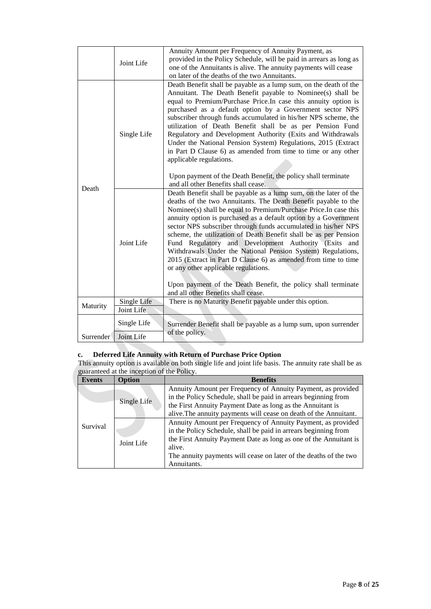|           | Joint Life                | Annuity Amount per Frequency of Annuity Payment, as<br>provided in the Policy Schedule, will be paid in arrears as long as<br>one of the Annuitants is alive. The annuity payments will cease<br>on later of the deaths of the two Annuitants.                                                                                                                                                                                                                                                                                                                                                                                                                                                                                                                |
|-----------|---------------------------|---------------------------------------------------------------------------------------------------------------------------------------------------------------------------------------------------------------------------------------------------------------------------------------------------------------------------------------------------------------------------------------------------------------------------------------------------------------------------------------------------------------------------------------------------------------------------------------------------------------------------------------------------------------------------------------------------------------------------------------------------------------|
|           | Single Life               | Death Benefit shall be payable as a lump sum, on the death of the<br>Annuitant. The Death Benefit payable to Nominee(s) shall be<br>equal to Premium/Purchase Price.In case this annuity option is<br>purchased as a default option by a Government sector NPS<br>subscriber through funds accumulated in his/her NPS scheme, the<br>utilization of Death Benefit shall be as per Pension Fund<br>Regulatory and Development Authority (Exits and Withdrawals<br>Under the National Pension System) Regulations, 2015 (Extract<br>in Part D Clause 6) as amended from time to time or any other<br>applicable regulations.<br>Upon payment of the Death Benefit, the policy shall terminate<br>and all other Benefits shall cease.                            |
| Death     | Joint Life                | Death Benefit shall be payable as a lump sum, on the later of the<br>deaths of the two Annuitants. The Death Benefit payable to the<br>Nominee(s) shall be equal to Premium/Purchase Price. In case this<br>annuity option is purchased as a default option by a Government<br>sector NPS subscriber through funds accumulated in his/her NPS<br>scheme, the utilization of Death Benefit shall be as per Pension<br>Fund Regulatory and Development Authority (Exits<br>and<br>Withdrawals Under the National Pension System) Regulations,<br>2015 (Extract in Part D Clause 6) as amended from time to time<br>or any other applicable regulations.<br>Upon payment of the Death Benefit, the policy shall terminate<br>and all other Benefits shall cease. |
| Maturity  | Single Life<br>Joint Life | There is no Maturity Benefit payable under this option.                                                                                                                                                                                                                                                                                                                                                                                                                                                                                                                                                                                                                                                                                                       |
| Surrender | Single Life<br>Joint Life | Surrender Benefit shall be payable as a lump sum, upon surrender<br>of the policy.                                                                                                                                                                                                                                                                                                                                                                                                                                                                                                                                                                                                                                                                            |

# **c. Deferred Life Annuity with Return of Purchase Price Option**

This annuity option is available on both single life and joint life basis. The annuity rate shall be as guaranteed at the inception of the Policy.

| <b>Events</b> | <b>Option</b> | <b>Benefits</b>                                                                                                                                                                                                                                                                                    |  |  |
|---------------|---------------|----------------------------------------------------------------------------------------------------------------------------------------------------------------------------------------------------------------------------------------------------------------------------------------------------|--|--|
|               | Single Life   | Annuity Amount per Frequency of Annuity Payment, as provided<br>in the Policy Schedule, shall be paid in arrears beginning from<br>the First Annuity Payment Date as long as the Annuitant is<br>alive. The annuity payments will cease on death of the Annuitant.                                 |  |  |
| Survival      | Joint Life    | Annuity Amount per Frequency of Annuity Payment, as provided<br>in the Policy Schedule, shall be paid in arrears beginning from<br>the First Annuity Payment Date as long as one of the Annuitant is<br>alive.<br>The annuity payments will cease on later of the deaths of the two<br>Annuitants. |  |  |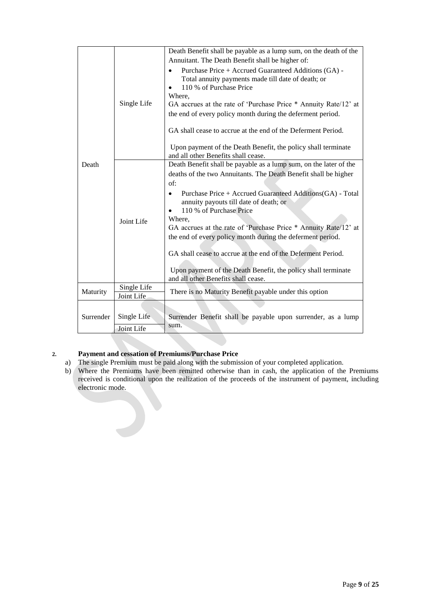|           |                           | Death Benefit shall be payable as a lump sum, on the death of the<br>Annuitant. The Death Benefit shall be higher of:                           |
|-----------|---------------------------|-------------------------------------------------------------------------------------------------------------------------------------------------|
|           |                           | Purchase Price + Accrued Guaranteed Additions (GA) -<br>Total annuity payments made till date of death; or<br>110 % of Purchase Price<br>Where, |
|           | Single Life               | GA accrues at the rate of 'Purchase Price * Annuity Rate/12' at                                                                                 |
|           |                           | the end of every policy month during the deferment period.                                                                                      |
|           |                           | GA shall cease to accrue at the end of the Deferment Period.                                                                                    |
|           |                           | Upon payment of the Death Benefit, the policy shall terminate<br>and all other Benefits shall cease.                                            |
| Death     |                           | Death Benefit shall be payable as a lump sum, on the later of the                                                                               |
|           |                           | deaths of the two Annuitants. The Death Benefit shall be higher                                                                                 |
|           |                           | of:                                                                                                                                             |
|           |                           | Purchase Price + Accrued Guaranteed Additions(GA) - Total<br>annuity payouts till date of death; or<br>110 % of Purchase Price                  |
|           |                           | Where,                                                                                                                                          |
|           | Joint Life                | GA accrues at the rate of 'Purchase Price * Annuity Rate/12' at                                                                                 |
|           |                           | the end of every policy month during the deferment period.                                                                                      |
|           |                           | GA shall cease to accrue at the end of the Deferment Period.                                                                                    |
|           |                           | Upon payment of the Death Benefit, the policy shall terminate<br>and all other Benefits shall cease.                                            |
| Maturity  | Single Life<br>Joint Life | There is no Maturity Benefit payable under this option                                                                                          |
|           |                           |                                                                                                                                                 |
| Surrender | Single Life               | Surrender Benefit shall be payable upon surrender, as a lump                                                                                    |
|           | Joint Life                | sum.                                                                                                                                            |
|           |                           |                                                                                                                                                 |

# **2. Payment and cessation of Premiums/Purchase Price**

- a) The single Premium must be paid along with the submission of your completed application.
- b) Where the Premiums have been remitted otherwise than in cash, the application of the Premiums received is conditional upon the realization of the proceeds of the instrument of payment, including electronic mode.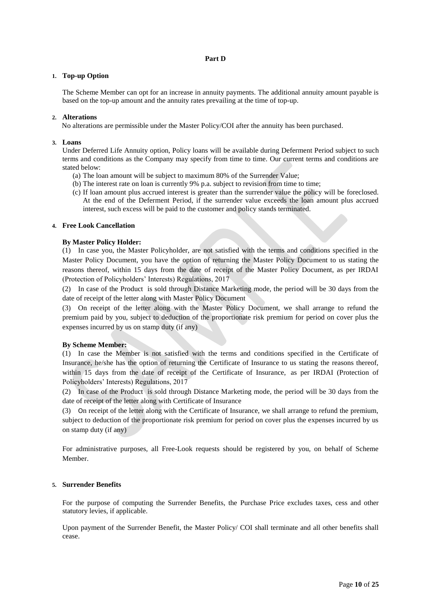# **Part D**

# **1. Top-up Option**

The Scheme Member can opt for an increase in annuity payments. The additional annuity amount payable is based on the top-up amount and the annuity rates prevailing at the time of top-up.

## **2. Alterations**

No alterations are permissible under the Master Policy/COI after the annuity has been purchased.

### **3. Loans**

Under Deferred Life Annuity option, Policy loans will be available during Deferment Period subject to such terms and conditions as the Company may specify from time to time. Our current terms and conditions are stated below:

- (a) The loan amount will be subject to maximum 80% of the Surrender Value;
- (b) The interest rate on loan is currently 9% p.a. subject to revision from time to time;
- (c) If loan amount plus accrued interest is greater than the surrender value the policy will be foreclosed. At the end of the Deferment Period, if the surrender value exceeds the loan amount plus accrued interest, such excess will be paid to the customer and policy stands terminated.

## **4. Free Look Cancellation**

## **By Master Policy Holder:**

(1) In case you, the Master Policyholder, are not satisfied with the terms and conditions specified in the Master Policy Document, you have the option of returning the Master Policy Document to us stating the reasons thereof, within 15 days from the date of receipt of the Master Policy Document, as per IRDAI (Protection of Policyholders' Interests) Regulations, 2017

(2) In case of the Product is sold through Distance Marketing mode, the period will be 30 days from the date of receipt of the letter along with Master Policy Document

(3) On receipt of the letter along with the Master Policy Document, we shall arrange to refund the premium paid by you, subject to deduction of the proportionate risk premium for period on cover plus the expenses incurred by us on stamp duty (if any)

### **By Scheme Member:**

(1) In case the Member is not satisfied with the terms and conditions specified in the Certificate of Insurance, he/she has the option of returning the Certificate of Insurance to us stating the reasons thereof, within 15 days from the date of receipt of the Certificate of Insurance, as per IRDAI (Protection of Policyholders' Interests) Regulations, 2017

(2) In case of the Product is sold through Distance Marketing mode, the period will be 30 days from the date of receipt of the letter along with Certificate of Insurance

(3) On receipt of the letter along with the Certificate of Insurance, we shall arrange to refund the premium, subject to deduction of the proportionate risk premium for period on cover plus the expenses incurred by us on stamp duty (if any)

For administrative purposes, all Free-Look requests should be registered by you, on behalf of Scheme Member.

### **5. Surrender Benefits**

For the purpose of computing the Surrender Benefits, the Purchase Price excludes taxes, cess and other statutory levies, if applicable.

Upon payment of the Surrender Benefit, the Master Policy/ COI shall terminate and all other benefits shall cease.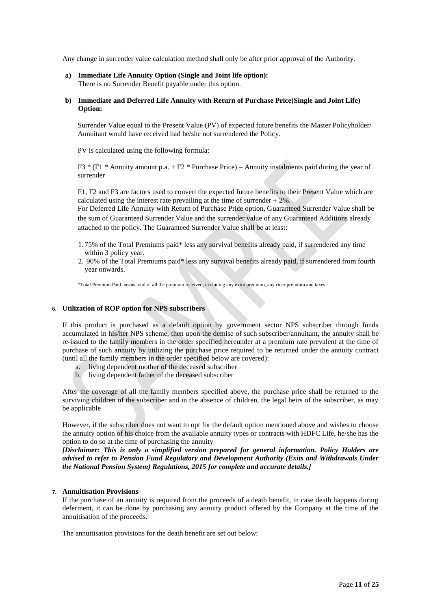Any change in surrender value calculation method shall only be after prior approval of the Authority.

**a) Immediate Life Annuity Option (Single and Joint life option):**  There is no Surrender Benefit payable under this option.

# **b) Immediate and Deferred Life Annuity with Return of Purchase Price(Single and Joint Life) Option:**

Surrender Value equal to the Present Value (PV) of expected future benefits the Master Policyholder/ Annuitant would have received had he/she not surrendered the Policy.

PV is calculated using the following formula:

F3  $*$  (F1  $*$  Annuity amount p.a. + F2  $*$  Purchase Price) – Annuity instalments paid during the year of surrender

F1, F2 and F3 are factors used to convert the expected future benefits to their Present Value which are calculated using the interest rate prevailing at the time of surrender  $+2\%$ .

For Deferred Life Annuity with Return of Purchase Price option, Guaranteed Surrender Value shall be the sum of Guaranteed Surrender Value and the surrender value of any Guaranteed Additions already attached to the policy. The Guaranteed Surrender Value shall be at least:

- 1. 75% of the Total Premiums paid\* less any survival benefits already paid, if surrendered any time within 3 policy year.
- 2. 90% of the Total Premiums paid\* less any survival benefits already paid, if surrendered from fourth year onwards.

\*Total Premium Paid means total of all the premium received, excluding any extra premium, any rider premium and taxes

### **6. Utilization of ROP option for NPS subscribers**

If this product is purchased as a default option by government sector NPS subscriber through funds accumulated in his/her NPS scheme, then upon the demise of such subscriber/annuitant, the annuity shall be re-issued to the family members in the order specified hereunder at a premium rate prevalent at the time of purchase of such annuity by utilizing the purchase price required to be returned under the annuity contract (until all the family members in the order specified below are covered):

- a. living dependent mother of the deceased subscriber
- b. living dependent father of the deceased subscriber

After the coverage of all the family members specified above, the purchase price shall be returned to the surviving children of the subscriber and in the absence of children, the legal heirs of the subscriber, as may be applicable

However, if the subscriber does not want to opt for the default option mentioned above and wishes to choose the annuity option of his choice from the available annuity types or contracts with HDFC Life, he/she has the option to do so at the time of purchasing the annuity

*[Disclaimer: This is only a simplified version prepared for general information. Policy Holders are advised to refer to Pension Fund Regulatory and Development Authority (Exits and Withdrawals Under the National Pension System) Regulations, 2015 for complete and accurate details.]*

### **7. Annuitisation Provisions**

If the purchase of an annuity is required from the proceeds of a death benefit, in case death happens during deferment, it can be done by purchasing any annuity product offered by the Company at the time of the annuitisation of the proceeds.

The annuitisation provisions for the death benefit are set out below: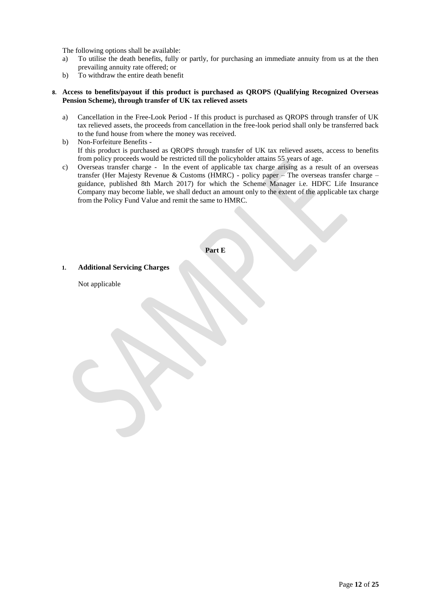The following options shall be available:

- a) To utilise the death benefits, fully or partly, for purchasing an immediate annuity from us at the then prevailing annuity rate offered; or
- b) To withdraw the entire death benefit

# **8. Access to benefits/payout if this product is purchased as QROPS (Qualifying Recognized Overseas Pension Scheme), through transfer of UK tax relieved assets**

- a) Cancellation in the Free-Look Period If this product is purchased as QROPS through transfer of UK tax relieved assets, the proceeds from cancellation in the free-look period shall only be transferred back to the fund house from where the money was received.
- b) Non-Forfeiture Benefits If this product is purchased as QROPS through transfer of UK tax relieved assets, access to benefits from policy proceeds would be restricted till the policyholder attains 55 years of age.
- c) Overseas transfer charge In the event of applicable tax charge arising as a result of an overseas transfer (Her Majesty Revenue & Customs (HMRC) - policy paper – The overseas transfer charge – guidance, published 8th March 2017) for which the Scheme Manager i.e. HDFC Life Insurance Company may become liable, we shall deduct an amount only to the extent of the applicable tax charge from the Policy Fund Value and remit the same to HMRC.

# **Part E**

**1. Additional Servicing Charges** 

Not applicable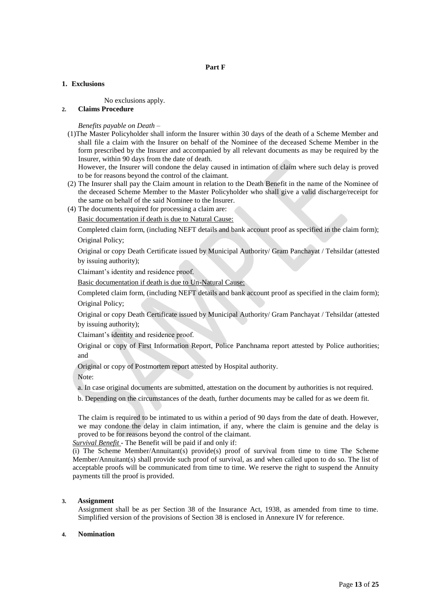# **1. Exclusions**

No exclusions apply.

# **2. Claims Procedure**

*Benefits payable on Death –*

(1)The Master Policyholder shall inform the Insurer within 30 days of the death of a Scheme Member and shall file a claim with the Insurer on behalf of the Nominee of the deceased Scheme Member in the form prescribed by the Insurer and accompanied by all relevant documents as may be required by the Insurer, within 90 days from the date of death.

However, the Insurer will condone the delay caused in intimation of claim where such delay is proved to be for reasons beyond the control of the claimant.

- (2) The Insurer shall pay the Claim amount in relation to the Death Benefit in the name of the Nominee of the deceased Scheme Member to the Master Policyholder who shall give a valid discharge/receipt for the same on behalf of the said Nominee to the Insurer.
- (4) The documents required for processing a claim are:

Basic documentation if death is due to Natural Cause:

Completed claim form, (including NEFT details and bank account proof as specified in the claim form); Original Policy;

Original or copy Death Certificate issued by Municipal Authority/ Gram Panchayat / Tehsildar (attested by issuing authority);

Claimant's identity and residence proof.

Basic documentation if death is due to Un-Natural Cause:

Completed claim form, (including NEFT details and bank account proof as specified in the claim form); Original Policy;

Original or copy Death Certificate issued by Municipal Authority/ Gram Panchayat / Tehsildar (attested by issuing authority);

Claimant's identity and residence proof.

Original or copy of First Information Report, Police Panchnama report attested by Police authorities; and

Original or copy of Postmortem report attested by Hospital authority.

Note:

a. In case original documents are submitted, attestation on the document by authorities is not required.

b. Depending on the circumstances of the death, further documents may be called for as we deem fit.

The claim is required to be intimated to us within a period of 90 days from the date of death. However, we may condone the delay in claim intimation, if any, where the claim is genuine and the delay is proved to be for reasons beyond the control of the claimant.

*Survival Benefit -* The Benefit will be paid if and only if:

(i) The Scheme Member/Annuitant(s) provide(s) proof of survival from time to time The Scheme Member/Annuitant(s) shall provide such proof of survival, as and when called upon to do so. The list of acceptable proofs will be communicated from time to time. We reserve the right to suspend the Annuity payments till the proof is provided.

### **3. Assignment**

Assignment shall be as per Section 38 of the Insurance Act, 1938, as amended from time to time. Simplified version of the provisions of Section 38 is enclosed in Annexure IV for reference.

### **4. Nomination**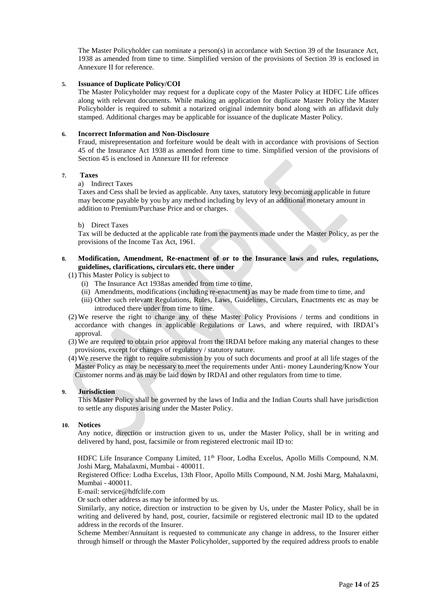The Master Policyholder can nominate a person(s) in accordance with Section 39 of the Insurance Act, 1938 as amended from time to time. Simplified version of the provisions of Section 39 is enclosed in Annexure II for reference.

# **5. Issuance of Duplicate Policy/COI**

The Master Policyholder may request for a duplicate copy of the Master Policy at HDFC Life offices along with relevant documents. While making an application for duplicate Master Policy the Master Policyholder is required to submit a notarized original indemnity bond along with an affidavit duly stamped. Additional charges may be applicable for issuance of the duplicate Master Policy.

## **6. Incorrect Information and Non-Disclosure**

Fraud, misrepresentation and forfeiture would be dealt with in accordance with provisions of Section 45 of the Insurance Act 1938 as amended from time to time. Simplified version of the provisions of Section 45 is enclosed in Annexure III for reference

## **7. Taxes**

# a) Indirect Taxes

Taxes and Cess shall be levied as applicable. Any taxes, statutory levy becoming applicable in future may become payable by you by any method including by levy of an additional monetary amount in addition to Premium/Purchase Price and or charges.

### b) Direct Taxes

Tax will be deducted at the applicable rate from the payments made under the Master Policy, as per the provisions of the Income Tax Act, 1961.

# **8. Modification, Amendment, Re-enactment of or to the Insurance laws and rules, regulations, guidelines, clarifications, circulars etc. there under**

# (1) This Master Policy is subject to

- (i) The Insurance Act 1938as amended from time to time,
- (ii) Amendments, modifications (including re-enactment) as may be made from time to time, and
- (iii) Other such relevant Regulations, Rules, Laws, Guidelines, Circulars, Enactments etc as may be introduced there under from time to time.
- (2) We reserve the right to change any of these Master Policy Provisions / terms and conditions in accordance with changes in applicable Regulations or Laws, and where required, with IRDAI's approval.
- (3) We are required to obtain prior approval from the IRDAI before making any material changes to these provisions, except for changes of regulatory / statutory nature.
- (4) We reserve the right to require submission by you of such documents and proof at all life stages of the Master Policy as may be necessary to meet the requirements under Anti- money Laundering/Know Your Customer norms and as may be laid down by IRDAI and other regulators from time to time.

# **9. Jurisdiction**

This Master Policy shall be governed by the laws of India and the Indian Courts shall have jurisdiction to settle any disputes arising under the Master Policy.

### **10. Notices**

Any notice, direction or instruction given to us, under the Master Policy, shall be in writing and delivered by hand, post, facsimile or from registered electronic mail ID to:

HDFC Life Insurance Company Limited, 11<sup>th</sup> Floor, Lodha Excelus, Apollo Mills Compound, N.M. Joshi Marg, Mahalaxmi, Mumbai - 400011.

Registered Office: Lodha Excelus, 13th Floor, Apollo Mills Compound, N.M. Joshi Marg, Mahalaxmi, Mumbai - 400011.

# E-mail: service@hdfclife.com

Or such other address as may be informed by us.

Similarly, any notice, direction or instruction to be given by Us, under the Master Policy, shall be in writing and delivered by hand, post, courier, facsimile or registered electronic mail ID to the updated address in the records of the Insurer.

Scheme Member/Annuitant is requested to communicate any change in address, to the Insurer either through himself or through the Master Policyholder, supported by the required address proofs to enable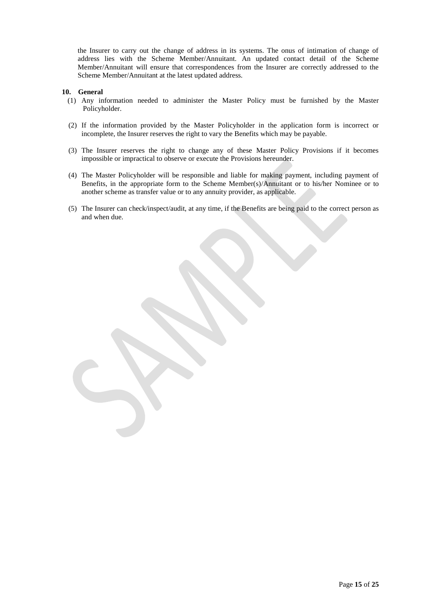the Insurer to carry out the change of address in its systems. The onus of intimation of change of address lies with the Scheme Member/Annuitant. An updated contact detail of the Scheme Member/Annuitant will ensure that correspondences from the Insurer are correctly addressed to the Scheme Member/Annuitant at the latest updated address.

### **10. General**

- (1) Any information needed to administer the Master Policy must be furnished by the Master Policyholder.
- (2) If the information provided by the Master Policyholder in the application form is incorrect or incomplete, the Insurer reserves the right to vary the Benefits which may be payable.
- (3) The Insurer reserves the right to change any of these Master Policy Provisions if it becomes impossible or impractical to observe or execute the Provisions hereunder.
- (4) The Master Policyholder will be responsible and liable for making payment, including payment of Benefits, in the appropriate form to the Scheme Member(s)/Annuitant or to his/her Nominee or to another scheme as transfer value or to any annuity provider, as applicable.
- (5) The Insurer can check/inspect/audit, at any time, if the Benefits are being paid to the correct person as and when due.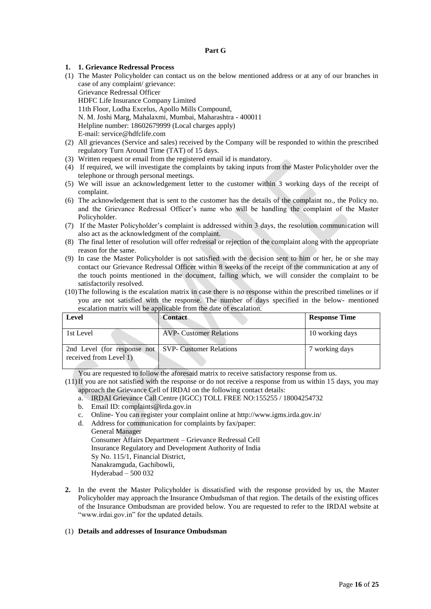# **Part G**

# **1. 1. Grievance Redressal Process**

- (1) The Master Policyholder can contact us on the below mentioned address or at any of our branches in case of any complaint/ grievance: Grievance Redressal Officer HDFC Life Insurance Company Limited 11th Floor, Lodha Excelus, Apollo Mills Compound, N. M. Joshi Marg, Mahalaxmi, Mumbai, Maharashtra - 400011 Helpline number: 18602679999 (Local charges apply) E-mail: service@hdfclife.com
- (2) All grievances (Service and sales) received by the Company will be responded to within the prescribed regulatory Turn Around Time (TAT) of 15 days.
- (3) Written request or email from the registered email id is mandatory.
- (4) If required, we will investigate the complaints by taking inputs from the Master Policyholder over the telephone or through personal meetings.
- (5) We will issue an acknowledgement letter to the customer within 3 working days of the receipt of complaint.
- (6) The acknowledgement that is sent to the customer has the details of the complaint no., the Policy no. and the Grievance Redressal Officer's name who will be handling the complaint of the Master Policyholder.
- (7) If the Master Policyholder's complaint is addressed within 3 days, the resolution communication will also act as the acknowledgment of the complaint.
- (8) The final letter of resolution will offer redressal or rejection of the complaint along with the appropriate reason for the same.
- (9) In case the Master Policyholder is not satisfied with the decision sent to him or her, he or she may contact our Grievance Redressal Officer within 8 weeks of the receipt of the communication at any of the touch points mentioned in the document, failing which, we will consider the complaint to be satisfactorily resolved.
- (10)The following is the escalation matrix in case there is no response within the prescribed timelines or if you are not satisfied with the response. The number of days specified in the below- mentioned escalation matrix will be applicable from the date of escalation.

| Level                                                                          | <b>Contact</b>                 | <b>Response Time</b> |
|--------------------------------------------------------------------------------|--------------------------------|----------------------|
| 1st Level                                                                      | <b>AVP-</b> Customer Relations | 10 working days      |
| 2nd Level (for response not SVP- Customer Relations<br>received from Level 1). |                                | 7 working days       |

You are requested to follow the aforesaid matrix to receive satisfactory response from us.

- (11)If you are not satisfied with the response or do not receive a response from us within 15 days, you may approach the Grievance Cell of IRDAI on the following contact details:
	- a. IRDAI Grievance Call Centre (IGCC) TOLL FREE NO:155255 / 18004254732
	- b. Email ID: complaints@irda.gov.in
	- c. Online- You can register your complaint online at http://www.igms.irda.gov.in/
	- d. Address for communication for complaints by fax/paper:

General Manager Consumer Affairs Department – Grievance Redressal Cell Insurance Regulatory and Development Authority of India Sy No. 115/1, Financial District, Nanakramguda, Gachibowli, Hyderabad – 500 032

**2.** In the event the Master Policyholder is dissatisfied with the response provided by us, the Master Policyholder may approach the Insurance Ombudsman of that region. The details of the existing offices of the Insurance Ombudsman are provided below. You are requested to refer to the IRDAI website at "www.irdai.gov.in" for the updated details.

### (1) **Details and addresses of Insurance Ombudsman**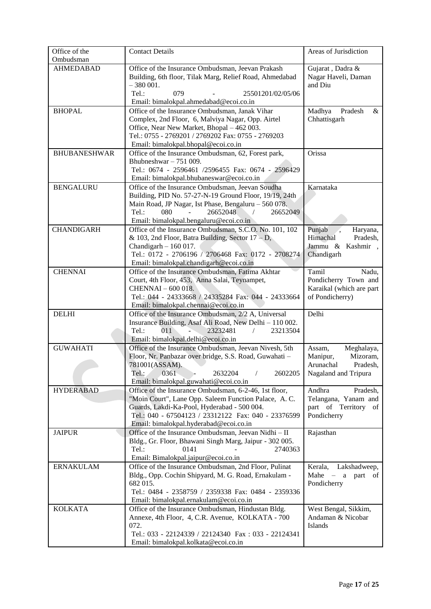| Office of the       | <b>Contact Details</b>                                                                                                                                                                                  | Areas of Jurisdiction                                                              |
|---------------------|---------------------------------------------------------------------------------------------------------------------------------------------------------------------------------------------------------|------------------------------------------------------------------------------------|
| Ombudsman           |                                                                                                                                                                                                         |                                                                                    |
| <b>AHMEDABAD</b>    | Office of the Insurance Ombudsman, Jeevan Prakash<br>Building, 6th floor, Tilak Marg, Relief Road, Ahmedabad<br>$-380001.$                                                                              | Gujarat, Dadra &<br>Nagar Haveli, Daman<br>and Diu                                 |
|                     | Tel.:<br>25501201/02/05/06<br>079<br>Email: bimalokpal.ahmedabad@ecoi.co.in                                                                                                                             |                                                                                    |
| <b>BHOPAL</b>       | Office of the Insurance Ombudsman, Janak Vihar<br>Complex, 2nd Floor, 6, Malviya Nagar, Opp. Airtel<br>Office, Near New Market, Bhopal - 462 003.<br>Tel.: 0755 - 2769201 / 2769202 Fax: 0755 - 2769203 | Madhya<br>Pradesh<br>$\&$<br>Chhattisgarh                                          |
|                     | Email: bimalokpal.bhopal@ecoi.co.in                                                                                                                                                                     |                                                                                    |
| <b>BHUBANESHWAR</b> | Office of the Insurance Ombudsman, 62, Forest park,<br>Bhubneshwar $-751009$ .<br>Tel.: 0674 - 2596461 /2596455 Fax: 0674 - 2596429<br>Email: bimalokpal.bhubaneswar@ecoi.co.in                         | Orissa                                                                             |
| <b>BENGALURU</b>    | Office of the Insurance Ombudsman, Jeevan Soudha                                                                                                                                                        | Karnataka                                                                          |
|                     | Building, PID No. 57-27-N-19 Ground Floor, 19/19, 24th<br>Main Road, JP Nagar, Ist Phase, Bengaluru - 560 078.                                                                                          |                                                                                    |
|                     | Tel.:<br>080<br>26652048<br>26652049                                                                                                                                                                    |                                                                                    |
| <b>CHANDIGARH</b>   | Email: bimalokpal.bengaluru@ecoi.co.in<br>Office of the Insurance Ombudsman, S.C.O. No. 101, 102                                                                                                        | Punjab<br>Haryana,                                                                 |
|                     | & 103, 2nd Floor, Batra Building, Sector $17 - D$ ,                                                                                                                                                     | Himachal<br>Pradesh,                                                               |
|                     | Chandigarh $-160017$ .                                                                                                                                                                                  | Jammu & Kashmir,                                                                   |
|                     | Tel.: 0172 - 2706196 / 2706468 Fax: 0172 - 2708274                                                                                                                                                      | Chandigarh                                                                         |
|                     | Email: bimalokpal.chandigarh@ecoi.co.in                                                                                                                                                                 |                                                                                    |
| <b>CHENNAI</b>      | Office of the Insurance Ombudsman, Fatima Akhtar                                                                                                                                                        | Tamil<br>Nadu,                                                                     |
|                     | Court, 4th Floor, 453, Anna Salai, Teynampet,                                                                                                                                                           | Pondicherry Town and                                                               |
|                     | CHENNAI - 600 018.                                                                                                                                                                                      | Karaikal (which are part                                                           |
|                     | Tel.: 044 - 24333668 / 24335284 Fax: 044 - 24333664                                                                                                                                                     | of Pondicherry)                                                                    |
|                     | Email: bimalokpal.chennai@ecoi.co.in                                                                                                                                                                    |                                                                                    |
| <b>DELHI</b>        | Office of the Insurance Ombudsman, 2/2 A, Universal                                                                                                                                                     | Delhi                                                                              |
|                     | Insurance Building, Asaf Ali Road, New Delhi - 110 002.<br>Tel.:<br>011<br>23232481<br>23213504                                                                                                         |                                                                                    |
|                     | Email: bimalokpal.delhi@ecoi.co.in                                                                                                                                                                      |                                                                                    |
| <b>GUWAHATI</b>     | Office of the Insurance Ombudsman, Jeevan Nivesh, 5th                                                                                                                                                   | Meghalaya,<br>Assam,                                                               |
|                     | Floor, Nr. Panbazar over bridge, S.S. Road, Guwahati -                                                                                                                                                  | Mizoram,<br>Manipur,                                                               |
|                     | 781001(ASSAM).                                                                                                                                                                                          | Arunachal<br>Pradesh,                                                              |
|                     | Tel.:<br>0361<br>2632204<br>$\sqrt{2}$<br>2602205                                                                                                                                                       | Nagaland and Tripura                                                               |
|                     | Email: bimalokpal.guwahati@ecoi.co.in                                                                                                                                                                   |                                                                                    |
| <b>HYDERABAD</b>    | Office of the Insurance Ombudsman, 6-2-46, 1st floor,                                                                                                                                                   | Andhra<br>Pradesh,                                                                 |
|                     | "Moin Court", Lane Opp. Saleem Function Palace, A. C.<br>Guards, Lakdi-Ka-Pool, Hyderabad - 500 004.                                                                                                    | Telangana, Yanam and<br>part of Territory of                                       |
|                     | Tel.: 040 - 67504123 / 23312122 Fax: 040 - 23376599                                                                                                                                                     | Pondicherry                                                                        |
|                     | Email: bimalokpal.hyderabad@ecoi.co.in                                                                                                                                                                  |                                                                                    |
| <b>JAIPUR</b>       | Office of the Insurance Ombudsman, Jeevan Nidhi - II                                                                                                                                                    | Rajasthan                                                                          |
|                     | Bldg., Gr. Floor, Bhawani Singh Marg, Jaipur - 302 005.                                                                                                                                                 |                                                                                    |
|                     | Tel.:<br>0141<br>2740363                                                                                                                                                                                |                                                                                    |
|                     | Email: Bimalokpal.jaipur@ecoi.co.in                                                                                                                                                                     |                                                                                    |
| <b>ERNAKULAM</b>    | Office of the Insurance Ombudsman, 2nd Floor, Pulinat<br>Bldg., Opp. Cochin Shipyard, M. G. Road, Ernakulam -                                                                                           | Lakshadweep,<br>Kerala,<br>Mahe<br>part of<br>$\overline{\phantom{m}}$<br>$\rm{a}$ |
|                     | 682 015.<br>Tel.: 0484 - 2358759 / 2359338 Fax: 0484 - 2359336                                                                                                                                          | Pondicherry                                                                        |
|                     | Email: bimalokpal.ernakulam@ecoi.co.in                                                                                                                                                                  |                                                                                    |
| <b>KOLKATA</b>      | Office of the Insurance Ombudsman, Hindustan Bldg.                                                                                                                                                      | West Bengal, Sikkim,                                                               |
|                     | Annexe, 4th Floor, 4, C.R. Avenue, KOLKATA - 700                                                                                                                                                        | Andaman & Nicobar                                                                  |
|                     | 072.                                                                                                                                                                                                    | Islands                                                                            |
|                     | Tel.: 033 - 22124339 / 22124340 Fax: 033 - 22124341                                                                                                                                                     |                                                                                    |
|                     | Email: bimalokpal.kolkata@ecoi.co.in                                                                                                                                                                    |                                                                                    |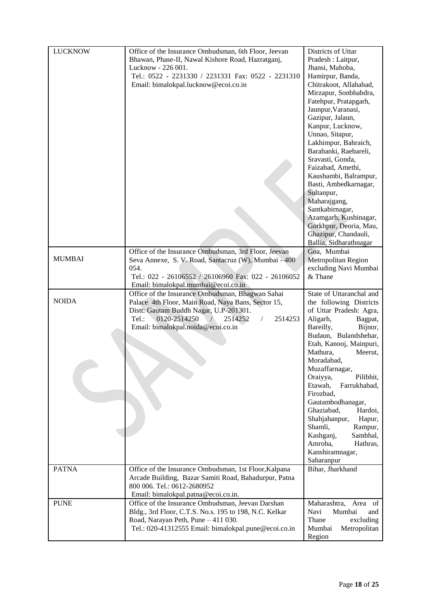|                |                                                                            | Districts of Uttar               |
|----------------|----------------------------------------------------------------------------|----------------------------------|
| <b>LUCKNOW</b> | Office of the Insurance Ombudsman, 6th Floor, Jeevan                       |                                  |
|                | Bhawan, Phase-II, Nawal Kishore Road, Hazratganj,                          | Pradesh : Laitpur,               |
|                | Lucknow - 226 001.                                                         | Jhansi, Mahoba,                  |
|                | Tel.: 0522 - 2231330 / 2231331 Fax: 0522 - 2231310                         | Hamirpur, Banda,                 |
|                | Email: bimalokpal.lucknow@ecoi.co.in                                       | Chitrakoot, Allahabad,           |
|                |                                                                            | Mirzapur, Sonbhabdra,            |
|                |                                                                            | Fatehpur, Pratapgarh,            |
|                |                                                                            |                                  |
|                |                                                                            | Jaunpur, Varanasi,               |
|                |                                                                            | Gazipur, Jalaun,                 |
|                |                                                                            | Kanpur, Lucknow,                 |
|                |                                                                            | Unnao, Sitapur,                  |
|                |                                                                            | Lakhimpur, Bahraich,             |
|                |                                                                            | Barabanki, Raebareli,            |
|                |                                                                            | Sravasti, Gonda,                 |
|                |                                                                            | Faizabad, Amethi,                |
|                |                                                                            | Kaushambi, Balrampur,            |
|                |                                                                            | Basti, Ambedkarnagar,            |
|                |                                                                            | Sultanpur,                       |
|                |                                                                            | Maharajgang,                     |
|                |                                                                            | Santkabirnagar,                  |
|                |                                                                            |                                  |
|                |                                                                            | Azamgarh, Kushinagar,            |
|                |                                                                            | Gorkhpur, Deoria, Mau,           |
|                |                                                                            | Ghazipur, Chandauli,             |
|                |                                                                            | Ballia, Sidharathnagar           |
| <b>MUMBAI</b>  | Office of the Insurance Ombudsman, 3rd Floor, Jeevan                       | Goa, Mumbai                      |
|                | Seva Annexe, S. V. Road, Santacruz (W), Mumbai - 400                       | Metropolitan Region              |
|                | 054.                                                                       | excluding Navi Mumbai            |
|                | Tel.: 022 - 26106552 / 26106960 Fax: 022 - 26106052                        | & Thane                          |
|                | Email: bimalokpal.mumbai@ecoi.co.in                                        |                                  |
|                | Office of the Insurance Ombudsman, Bhagwan Sahai                           | State of Uttaranchal and         |
| <b>NOIDA</b>   | Palace 4th Floor, Main Road, Naya Bans, Sector 15,                         | the following Districts          |
|                | Distt: Gautam Buddh Nagar, U.P-201301.                                     | of Uttar Pradesh: Agra,          |
|                | 0120-2514250<br>2514252<br>$Tel.$ :<br>2514253<br>$\sqrt{ }$<br>$\sqrt{2}$ | Aligarh,<br>Bagpat,              |
|                | Email: bimalokpal.noida@ecoi.co.in                                         | Bijnor,<br>Bareilly,             |
|                |                                                                            | Budaun, Bulandshehar,            |
|                |                                                                            | Etah, Kanooj, Mainpuri,          |
|                |                                                                            | Mathura,<br>Meerut,              |
|                |                                                                            | Moradabad,                       |
|                |                                                                            | Muzaffarnagar,                   |
|                |                                                                            |                                  |
|                |                                                                            | Pilibhit,<br>Oraiyya,            |
|                |                                                                            | Etawah,<br>Farrukhabad,          |
|                |                                                                            | Firozbad,                        |
|                |                                                                            | Gautambodhanagar,                |
|                |                                                                            | Ghaziabad,<br>Hardoi,            |
|                |                                                                            | Shahjahanpur,<br>Hapur,          |
|                |                                                                            | Shamli,<br>Rampur,               |
|                |                                                                            | Sambhal,<br>Kashganj,            |
|                |                                                                            | Amroha,<br>Hathras.              |
|                |                                                                            | Kanshiramnagar,                  |
|                |                                                                            | Saharanpur                       |
| <b>PATNA</b>   | Office of the Insurance Ombudsman, 1st Floor, Kalpana                      | Bihar, Jharkhand                 |
|                | Arcade Building, Bazar Samiti Road, Bahadurpur, Patna                      |                                  |
|                | 800 006. Tel.: 0612-2680952                                                |                                  |
|                | Email: bimalokpal.patna@ecoi.co.in.                                        |                                  |
| <b>PUNE</b>    | Office of the Insurance Ombudsman, Jeevan Darshan                          | Maharashtra,<br>Area<br>of       |
|                |                                                                            |                                  |
|                |                                                                            |                                  |
|                | Bldg., 3rd Floor, C.T.S. No.s. 195 to 198, N.C. Kelkar                     | Mumbai<br>Navi<br>and            |
|                | Road, Narayan Peth, Pune - 411 030.                                        | Thane<br>excluding               |
|                | Tel.: 020-41312555 Email: bimalokpal.pune@ecoi.co.in                       | Mumbai<br>Metropolitan<br>Region |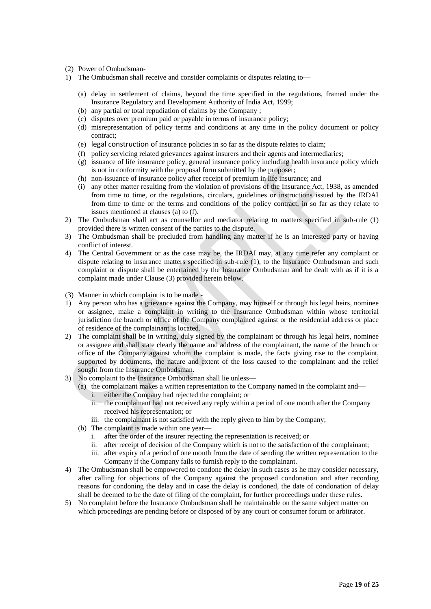- (2) Power of Ombudsman-
- 1) The Ombudsman shall receive and consider complaints or disputes relating to—
	- (a) delay in settlement of claims, beyond the time specified in the regulations, framed under the Insurance Regulatory and Development Authority of India Act, 1999;
	- (b) any partial or total repudiation of claims by the Company ;
	- (c) disputes over premium paid or payable in terms of insurance policy;
	- (d) misrepresentation of policy terms and conditions at any time in the policy document or policy contract;
	- (e) legal construction of insurance policies in so far as the dispute relates to claim;
	- (f) policy servicing related grievances against insurers and their agents and intermediaries;
	- (g) issuance of life insurance policy, general insurance policy including health insurance policy which is not in conformity with the proposal form submitted by the proposer;
	- (h) non-issuance of insurance policy after receipt of premium in life insurance; and
	- (i) any other matter resulting from the violation of provisions of the Insurance Act, 1938, as amended from time to time, or the regulations, circulars, guidelines or instructions issued by the IRDAI from time to time or the terms and conditions of the policy contract, in so far as they relate to issues mentioned at clauses (a) to (f).
- 2) The Ombudsman shall act as counsellor and mediator relating to matters specified in sub-rule (1) provided there is written consent of the parties to the dispute.
- 3) The Ombudsman shall be precluded from handling any matter if he is an interested party or having conflict of interest.
- 4) The Central Government or as the case may be, the IRDAI may, at any time refer any complaint or dispute relating to insurance matters specified in sub-rule (1), to the Insurance Ombudsman and such complaint or dispute shall be entertained by the Insurance Ombudsman and be dealt with as if it is a complaint made under Clause (3) provided herein below.
- (3) Manner in which complaint is to be made -
- 1) Any person who has a grievance against the Company, may himself or through his legal heirs, nominee or assignee, make a complaint in writing to the Insurance Ombudsman within whose territorial jurisdiction the branch or office of the Company complained against or the residential address or place of residence of the complainant is located.
- 2) The complaint shall be in writing, duly signed by the complainant or through his legal heirs, nominee or assignee and shall state clearly the name and address of the complainant, the name of the branch or office of the Company against whom the complaint is made, the facts giving rise to the complaint, supported by documents, the nature and extent of the loss caused to the complainant and the relief sought from the Insurance Ombudsman.
- 3) No complaint to the Insurance Ombudsman shall lie unless—
	- (a) the complainant makes a written representation to the Company named in the complaint and
		- i. either the Company had rejected the complaint; or
		- ii. the complainant had not received any reply within a period of one month after the Company received his representation; or
		- iii. the complainant is not satisfied with the reply given to him by the Company;
	- (b) The complaint is made within one year
		- i. after the order of the insurer rejecting the representation is received; or
		- ii. after receipt of decision of the Company which is not to the satisfaction of the complainant;
		- iii. after expiry of a period of one month from the date of sending the written representation to the Company if the Company fails to furnish reply to the complainant.
- 4) The Ombudsman shall be empowered to condone the delay in such cases as he may consider necessary, after calling for objections of the Company against the proposed condonation and after recording reasons for condoning the delay and in case the delay is condoned, the date of condonation of delay shall be deemed to be the date of filing of the complaint, for further proceedings under these rules.
- 5) No complaint before the Insurance Ombudsman shall be maintainable on the same subject matter on which proceedings are pending before or disposed of by any court or consumer forum or arbitrator.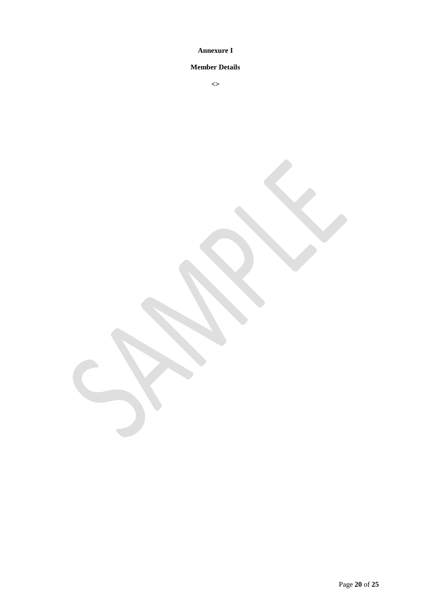# **Annexure I**

# **Member Details**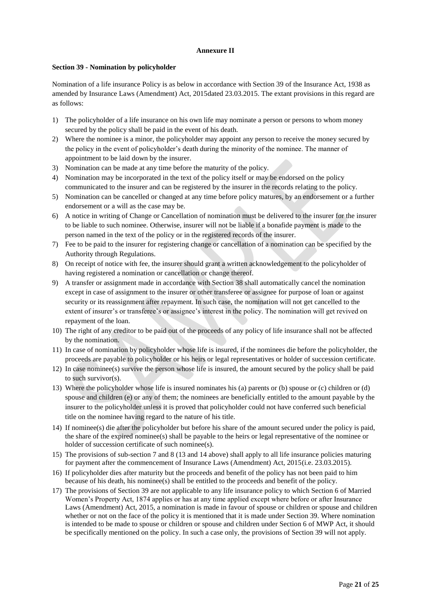# **Annexure II**

# **Section 39 - Nomination by policyholder**

Nomination of a life insurance Policy is as below in accordance with Section 39 of the Insurance Act, 1938 as amended by Insurance Laws (Amendment) Act, 2015dated 23.03.2015. The extant provisions in this regard are as follows:

- 1) The policyholder of a life insurance on his own life may nominate a person or persons to whom money secured by the policy shall be paid in the event of his death.
- 2) Where the nominee is a minor, the policyholder may appoint any person to receive the money secured by the policy in the event of policyholder's death during the minority of the nominee. The manner of appointment to be laid down by the insurer.
- 3) Nomination can be made at any time before the maturity of the policy.
- 4) Nomination may be incorporated in the text of the policy itself or may be endorsed on the policy communicated to the insurer and can be registered by the insurer in the records relating to the policy.
- 5) Nomination can be cancelled or changed at any time before policy matures, by an endorsement or a further endorsement or a will as the case may be.
- 6) A notice in writing of Change or Cancellation of nomination must be delivered to the insurer for the insurer to be liable to such nominee. Otherwise, insurer will not be liable if a bonafide payment is made to the person named in the text of the policy or in the registered records of the insurer.
- 7) Fee to be paid to the insurer for registering change or cancellation of a nomination can be specified by the Authority through Regulations.
- 8) On receipt of notice with fee, the insurer should grant a written acknowledgement to the policyholder of having registered a nomination or cancellation or change thereof.
- 9) A transfer or assignment made in accordance with Section 38 shall automatically cancel the nomination except in case of assignment to the insurer or other transferee or assignee for purpose of loan or against security or its reassignment after repayment. In such case, the nomination will not get cancelled to the extent of insurer's or transferee's or assignee's interest in the policy. The nomination will get revived on repayment of the loan.
- 10) The right of any creditor to be paid out of the proceeds of any policy of life insurance shall not be affected by the nomination.
- 11) In case of nomination by policyholder whose life is insured, if the nominees die before the policyholder, the proceeds are payable to policyholder or his heirs or legal representatives or holder of succession certificate.
- 12) In case nominee(s) survive the person whose life is insured, the amount secured by the policy shall be paid to such survivor(s).
- 13) Where the policyholder whose life is insured nominates his (a) parents or (b) spouse or (c) children or (d) spouse and children (e) or any of them; the nominees are beneficially entitled to the amount payable by the insurer to the policyholder unless it is proved that policyholder could not have conferred such beneficial title on the nominee having regard to the nature of his title.
- 14) If nominee(s) die after the policyholder but before his share of the amount secured under the policy is paid, the share of the expired nominee(s) shall be payable to the heirs or legal representative of the nominee or holder of succession certificate of such nominee(s).
- 15) The provisions of sub-section 7 and 8 (13 and 14 above) shall apply to all life insurance policies maturing for payment after the commencement of Insurance Laws (Amendment) Act, 2015(i.e. 23.03.2015).
- 16) If policyholder dies after maturity but the proceeds and benefit of the policy has not been paid to him because of his death, his nominee(s) shall be entitled to the proceeds and benefit of the policy.
- 17) The provisions of Section 39 are not applicable to any life insurance policy to which Section 6 of Married Women's Property Act, 1874 applies or has at any time applied except where before or after Insurance Laws (Amendment) Act, 2015, a nomination is made in favour of spouse or children or spouse and children whether or not on the face of the policy it is mentioned that it is made under Section 39. Where nomination is intended to be made to spouse or children or spouse and children under Section 6 of MWP Act, it should be specifically mentioned on the policy. In such a case only, the provisions of Section 39 will not apply.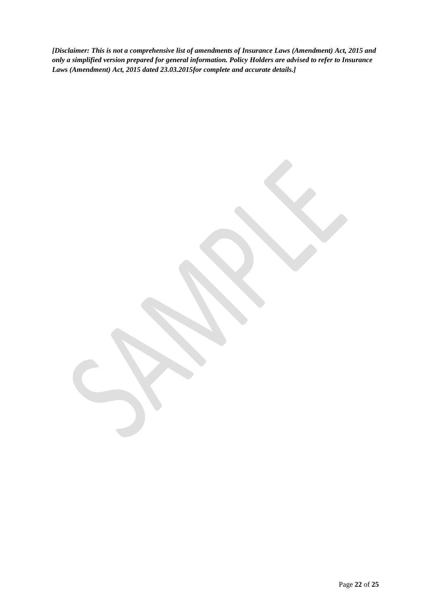*[Disclaimer: This is not a comprehensive list of amendments of Insurance Laws (Amendment) Act, 2015 and only a simplified version prepared for general information. Policy Holders are advised to refer to Insurance Laws (Amendment) Act, 2015 dated 23.03.2015for complete and accurate details.]*

Page **22** of **25**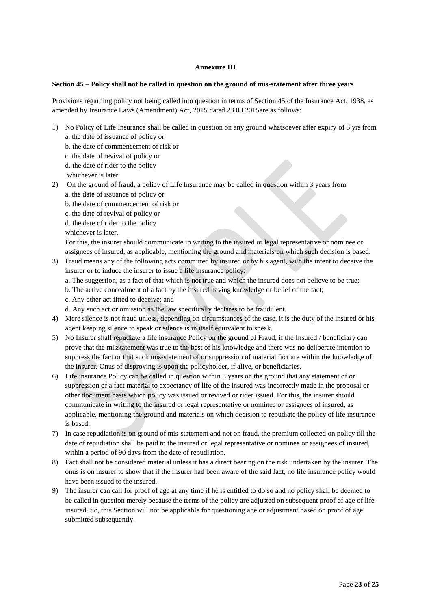# **Annexure III**

# **Section 45 – Policy shall not be called in question on the ground of mis-statement after three years**

Provisions regarding policy not being called into question in terms of Section 45 of the Insurance Act, 1938, as amended by Insurance Laws (Amendment) Act, 2015 dated 23.03.2015are as follows:

- 1) No Policy of Life Insurance shall be called in question on any ground whatsoever after expiry of 3 yrs from a. the date of issuance of policy or
	- b. the date of commencement of risk or
	- c. the date of revival of policy or
	- d. the date of rider to the policy

whichever is later.

- 2) On the ground of fraud, a policy of Life Insurance may be called in question within 3 years from a. the date of issuance of policy or
	- b. the date of commencement of risk or
	- c. the date of revival of policy or
	- d. the date of rider to the policy
	- whichever is later.

For this, the insurer should communicate in writing to the insured or legal representative or nominee or assignees of insured, as applicable, mentioning the ground and materials on which such decision is based.

- 3) Fraud means any of the following acts committed by insured or by his agent, with the intent to deceive the insurer or to induce the insurer to issue a life insurance policy:
	- a. The suggestion, as a fact of that which is not true and which the insured does not believe to be true;
	- b. The active concealment of a fact by the insured having knowledge or belief of the fact;
	- c. Any other act fitted to deceive; and
	- d. Any such act or omission as the law specifically declares to be fraudulent.
- 4) Mere silence is not fraud unless, depending on circumstances of the case, it is the duty of the insured or his agent keeping silence to speak or silence is in itself equivalent to speak.
- 5) No Insurer shall repudiate a life insurance Policy on the ground of Fraud, if the Insured / beneficiary can prove that the misstatement was true to the best of his knowledge and there was no deliberate intention to suppress the fact or that such mis-statement of or suppression of material fact are within the knowledge of the insurer. Onus of disproving is upon the policyholder, if alive, or beneficiaries.
- 6) Life insurance Policy can be called in question within 3 years on the ground that any statement of or suppression of a fact material to expectancy of life of the insured was incorrectly made in the proposal or other document basis which policy was issued or revived or rider issued. For this, the insurer should communicate in writing to the insured or legal representative or nominee or assignees of insured, as applicable, mentioning the ground and materials on which decision to repudiate the policy of life insurance is based.
- 7) In case repudiation is on ground of mis-statement and not on fraud, the premium collected on policy till the date of repudiation shall be paid to the insured or legal representative or nominee or assignees of insured, within a period of 90 days from the date of repudiation.
- 8) Fact shall not be considered material unless it has a direct bearing on the risk undertaken by the insurer. The onus is on insurer to show that if the insurer had been aware of the said fact, no life insurance policy would have been issued to the insured.
- 9) The insurer can call for proof of age at any time if he is entitled to do so and no policy shall be deemed to be called in question merely because the terms of the policy are adjusted on subsequent proof of age of life insured. So, this Section will not be applicable for questioning age or adjustment based on proof of age submitted subsequently.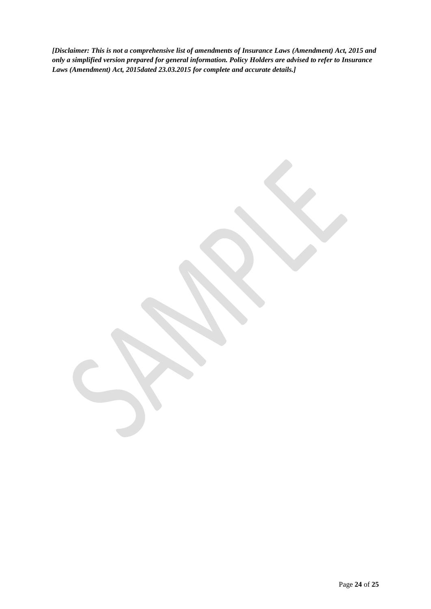*[Disclaimer: This is not a comprehensive list of amendments of Insurance Laws (Amendment) Act, 2015 and only a simplified version prepared for general information. Policy Holders are advised to refer to Insurance Laws (Amendment) Act, 2015dated 23.03.2015 for complete and accurate details.]*

Page **24** of **25**